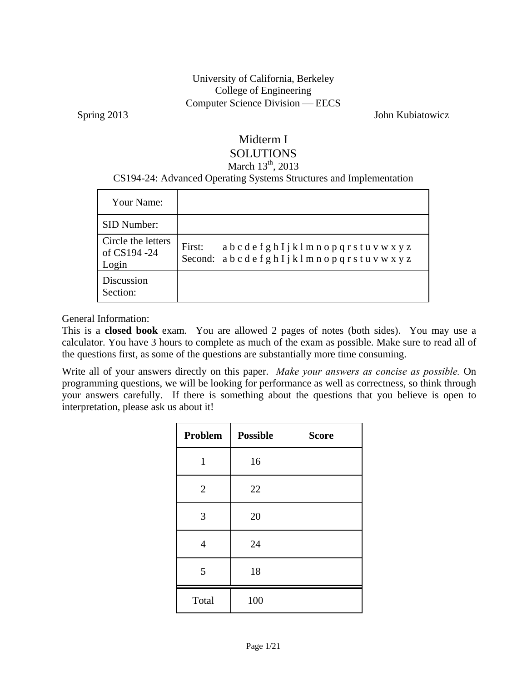#### University of California, Berkeley College of Engineering Computer Science Division — EECS

Spring 2013

John Kubiatowicz

### Midterm I

### **SOLUTIONS**

#### March  $13<sup>th</sup>$ , 2013

#### CS194-24: Advanced Operating Systems Structures and Implementation

| Your Name:                                  |        |                                                                  |
|---------------------------------------------|--------|------------------------------------------------------------------|
| <b>SID</b> Number:                          |        |                                                                  |
| Circle the letters<br>of CS194 -24<br>Login | First: | abcdefghIjklmnopqrstuvwxyz<br>Second: abcdefghIjklmnopqrstuvwxyz |
| Discussion<br>Section:                      |        |                                                                  |

General Information:

This is a **closed book** exam. You are allowed 2 pages of notes (both sides). You may use a calculator. You have 3 hours to complete as much of the exam as possible. Make sure to read all of the questions first, as some of the questions are substantially more time consuming.

Write all of your answers directly on this paper. *Make your answers as concise as possible.* On programming questions, we will be looking for performance as well as correctness, so think through your answers carefully. If there is something about the questions that you believe is open to interpretation, please ask us about it!

| Problem        | <b>Possible</b> | <b>Score</b> |
|----------------|-----------------|--------------|
| $\mathbf{1}$   | 16              |              |
| $\overline{2}$ | 22              |              |
| 3              | 20              |              |
| 4              | 24              |              |
| 5              | 18              |              |
| Total          | 100             |              |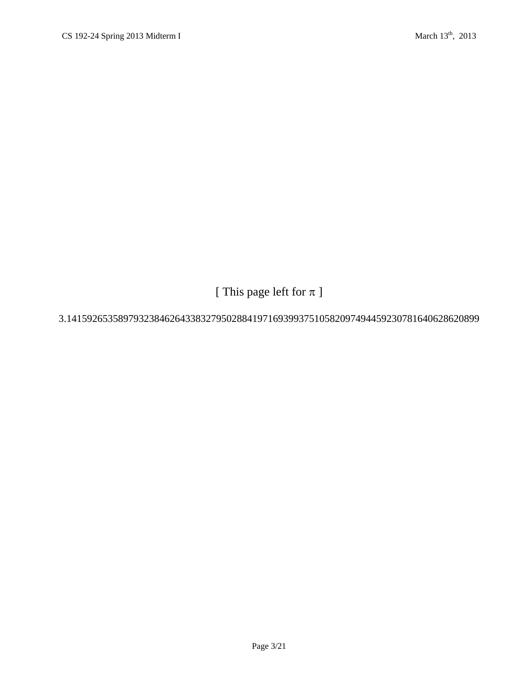[ This page left for  $\pi$  ]

3.14159265358979323846264338327950288419716939937510582097494459230781640628620899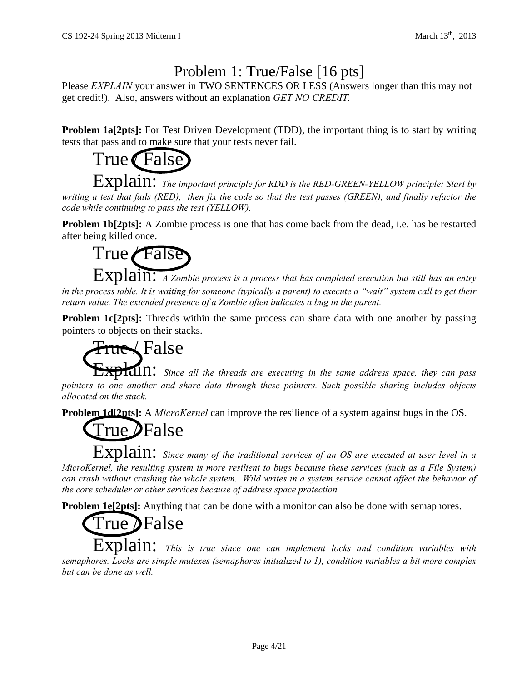## Problem 1: True/False [16 pts]

Please *EXPLAIN* your answer in TWO SENTENCES OR LESS (Answers longer than this may not get credit!). Also, answers without an explanation *GET NO CREDIT.* 

**Problem 1a<sup>[2pts]</sup>:** For Test Driven Development (TDD), the important thing is to start by writing tests that pass and to make sure that your tests never fail.



 Explain: *The important principle for RDD is the RED-GREEN-YELLOW principle: Start by writing a test that fails (RED), then fix the code so that the test passes (GREEN), and finally refactor the code while continuing to pass the test (YELLOW).*

**Problem 1b[2pts]:** A Zombie process is one that has come back from the dead, i.e. has be restarted after being killed once.



Explain: *A Zombie process is a process that has completed execution but still has an entry in the process table. It is waiting for someone (typically a parent) to execute a "wait" system call to get their return value. The extended presence of a Zombie often indicates a bug in the parent.*

**Problem 1c[2pts]:** Threads within the same process can share data with one another by passing pointers to objects on their stacks.



**EXPIGIN:** Since all the threads are executing in the same address space, they can pass *pointers to one another and share data through these pointers. Such possible sharing includes objects allocated on the stack.* 

**Problem 1d[2pts]:** A *MicroKernel* can improve the resilience of a system against bugs in the OS.

 $True$  *P*False

Explain: *Since many of the traditional services of an OS are executed at user level in a MicroKernel, the resulting system is more resilient to bugs because these services (such as a File System) can crash without crashing the whole system. Wild writes in a system service cannot affect the behavior of the core scheduler or other services because of address space protection.*

**Problem 1e[2pts]:** Anything that can be done with a monitor can also be done with semaphores.

True *DFalse* 

**EXPIAIN:** *This is true since one can implement locks and condition variables with semaphores. Locks are simple mutexes (semaphores initialized to 1), condition variables a bit more complex but can be done as well.*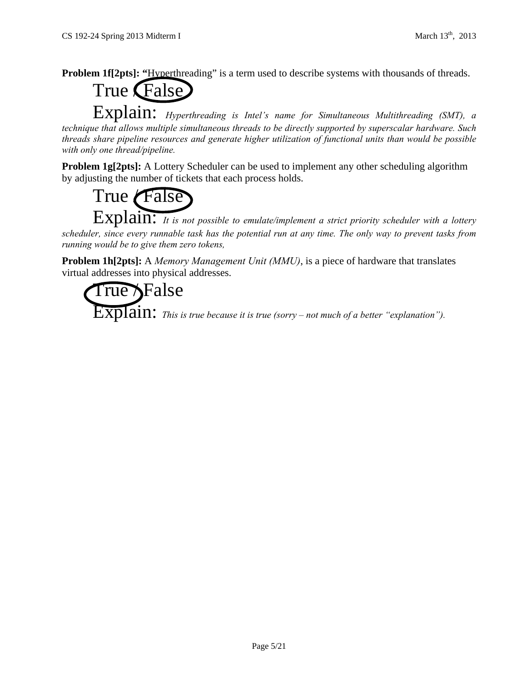**Problem 1f[2pts]: "Hyperthreading" is a term used to describe systems with thousands of threads.** 

True *(False)* 

 Explain: *Hyperthreading is Intel's name for Simultaneous Multithreading (SMT), a technique that allows multiple simultaneous threads to be directly supported by superscalar hardware. Such threads share pipeline resources and generate higher utilization of functional units than would be possible with only one thread/pipeline.*

**Problem 1g[2pts]:** A Lottery Scheduler can be used to implement any other scheduling algorithm by adjusting the number of tickets that each process holds.



Explain: *It is not possible to emulate/implement a strict priority scheduler with a lottery scheduler, since every runnable task has the potential run at any time. The only way to prevent tasks from running would be to give them zero tokens,* 

**Problem 1h[2pts]:** A *Memory Management Unit (MMU)*, is a piece of hardware that translates virtual addresses into physical addresses.

True *N*False  $\overline{\text{explain: }}$  *This is true because it is true (sorry – not much of a better "explanation").*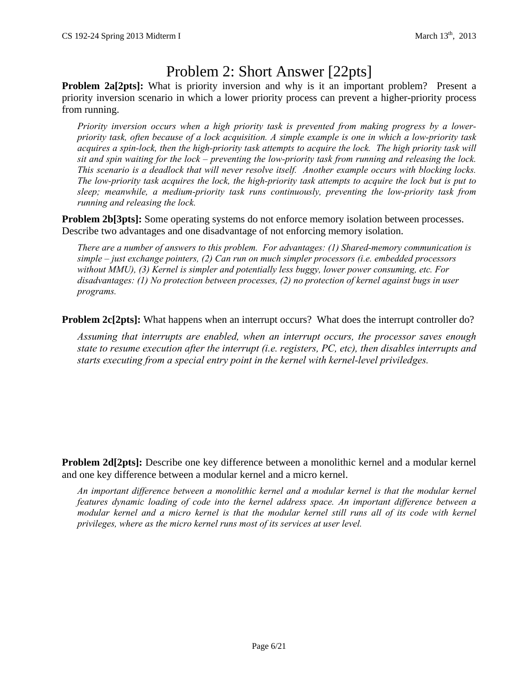### Problem 2: Short Answer [22pts]

**Problem 2a[2pts]:** What is priority inversion and why is it an important problem? Present a priority inversion scenario in which a lower priority process can prevent a higher-priority process from running.

*Priority inversion occurs when a high priority task is prevented from making progress by a lowerpriority task, often because of a lock acquisition. A simple example is one in which a low-priority task acquires a spin-lock, then the high-priority task attempts to acquire the lock. The high priority task will sit and spin waiting for the lock – preventing the low-priority task from running and releasing the lock. This scenario is a deadlock that will never resolve itself. Another example occurs with blocking locks. The low-priority task acquires the lock, the high-priority task attempts to acquire the lock but is put to sleep; meanwhile, a medium-priority task runs continuously, preventing the low-priority task from running and releasing the lock.*

**Problem 2b[3pts]:** Some operating systems do not enforce memory isolation between processes. Describe two advantages and one disadvantage of not enforcing memory isolation.

*There are a number of answers to this problem. For advantages: (1) Shared-memory communication is simple – just exchange pointers, (2) Can run on much simpler processors (i.e. embedded processors without MMU), (3) Kernel is simpler and potentially less buggy, lower power consuming, etc. For disadvantages: (1) No protection between processes, (2) no protection of kernel against bugs in user programs.*

**Problem 2c[2pts]:** What happens when an interrupt occurs? What does the interrupt controller do?

*Assuming that interrupts are enabled, when an interrupt occurs, the processor saves enough state to resume execution after the interrupt (i.e. registers, PC, etc), then disables interrupts and starts executing from a special entry point in the kernel with kernel-level priviledges.* 

**Problem 2d[2pts]:** Describe one key difference between a monolithic kernel and a modular kernel and one key difference between a modular kernel and a micro kernel.

*An important difference between a monolithic kernel and a modular kernel is that the modular kernel features dynamic loading of code into the kernel address space. An important difference between a*  modular kernel and a micro kernel is that the modular kernel still runs all of its code with kernel *privileges, where as the micro kernel runs most of its services at user level.*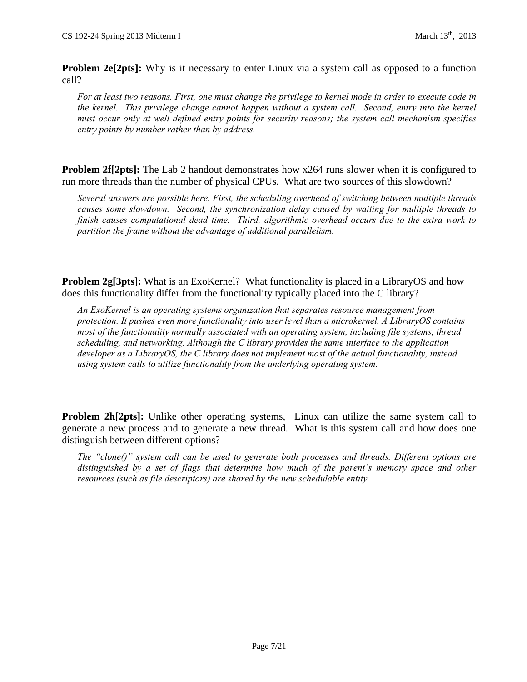**Problem 2e[2pts]:** Why is it necessary to enter Linux via a system call as opposed to a function call?

*For at least two reasons. First, one must change the privilege to kernel mode in order to execute code in the kernel. This privilege change cannot happen without a system call. Second, entry into the kernel must occur only at well defined entry points for security reasons; the system call mechanism specifies entry points by number rather than by address.*

**Problem 2f[2pts]:** The Lab 2 handout demonstrates how x264 runs slower when it is configured to run more threads than the number of physical CPUs. What are two sources of this slowdown?

*Several answers are possible here. First, the scheduling overhead of switching between multiple threads causes some slowdown. Second, the synchronization delay caused by waiting for multiple threads to finish causes computational dead time. Third, algorithmic overhead occurs due to the extra work to partition the frame without the advantage of additional parallelism.* 

**Problem 2g[3pts]:** What is an ExoKernel? What functionality is placed in a LibraryOS and how does this functionality differ from the functionality typically placed into the C library?

*An ExoKernel is an operating systems organization that separates resource management from protection. It pushes even more functionality into user level than a microkernel. A LibraryOS contains most of the functionality normally associated with an operating system, including file systems, thread scheduling, and networking. Although the C library provides the same interface to the application developer as a LibraryOS, the C library does not implement most of the actual functionality, instead using system calls to utilize functionality from the underlying operating system.*

**Problem 2h[2pts]:** Unlike other operating systems, Linux can utilize the same system call to generate a new process and to generate a new thread. What is this system call and how does one distinguish between different options?

*The "clone()" system call can be used to generate both processes and threads. Different options are distinguished by a set of flags that determine how much of the parent's memory space and other resources (such as file descriptors) are shared by the new schedulable entity.*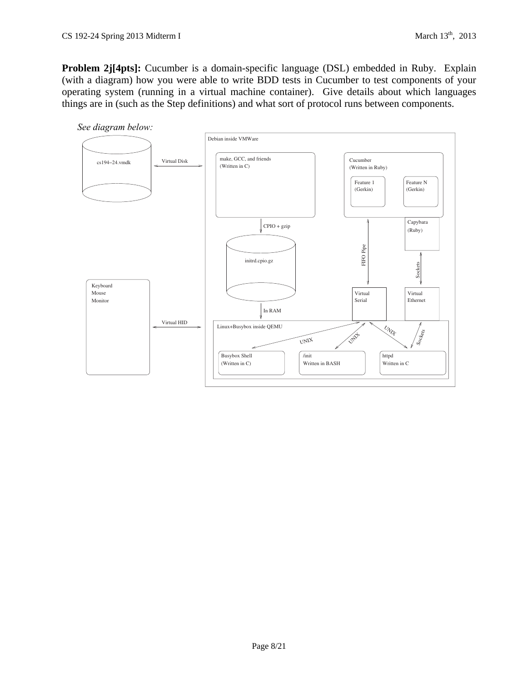**Problem 2j[4pts]:** Cucumber is a domain-specific language (DSL) embedded in Ruby. Explain (with a diagram) how you were able to write BDD tests in Cucumber to test components of your operating system (running in a virtual machine container). Give details about which languages things are in (such as the Step definitions) and what sort of protocol runs between components.

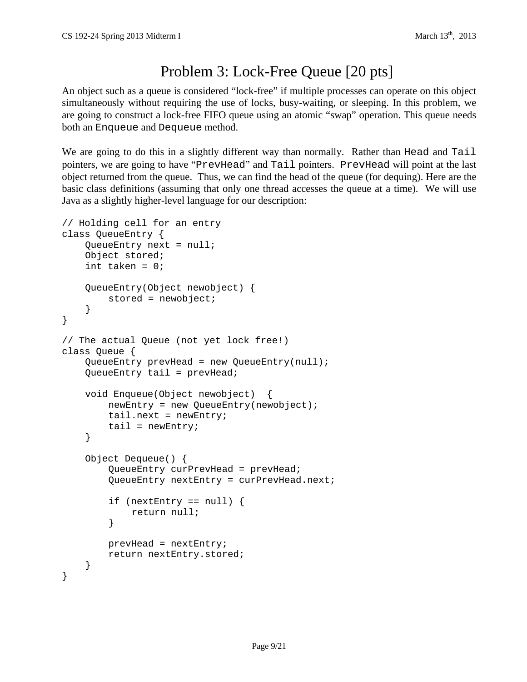## Problem 3: Lock-Free Queue [20 pts]

An object such as a queue is considered "lock-free" if multiple processes can operate on this object simultaneously without requiring the use of locks, busy-waiting, or sleeping. In this problem, we are going to construct a lock-free FIFO queue using an atomic "swap" operation. This queue needs both an Enqueue and Dequeue method.

We are going to do this in a slightly different way than normally. Rather than Head and Tail pointers, we are going to have "PrevHead" and Tail pointers. PrevHead will point at the last object returned from the queue. Thus, we can find the head of the queue (for dequing). Here are the basic class definitions (assuming that only one thread accesses the queue at a time). We will use Java as a slightly higher-level language for our description:

```
// Holding cell for an entry 
class QueueEntry { 
     QueueEntry next = null; 
     Object stored; 
    int taken = 0;
     QueueEntry(Object newobject) { 
         stored = newobject; 
     } 
} 
// The actual Queue (not yet lock free!) 
class Queue { 
     QueueEntry prevHead = new QueueEntry(null); 
     QueueEntry tail = prevHead; 
     void Enqueue(Object newobject) { 
         newEntry = new QueueEntry(newobject); 
        tail.next = newEntrytail = newEntry; } 
     Object Dequeue() { 
         QueueEntry curPrevHead = prevHead; 
         QueueEntry nextEntry = curPrevHead.next; 
        if (nextEntry == null) {
              return null; 
 } 
         prevHead = nextEntry; 
         return nextEntry.stored; 
     } 
}
```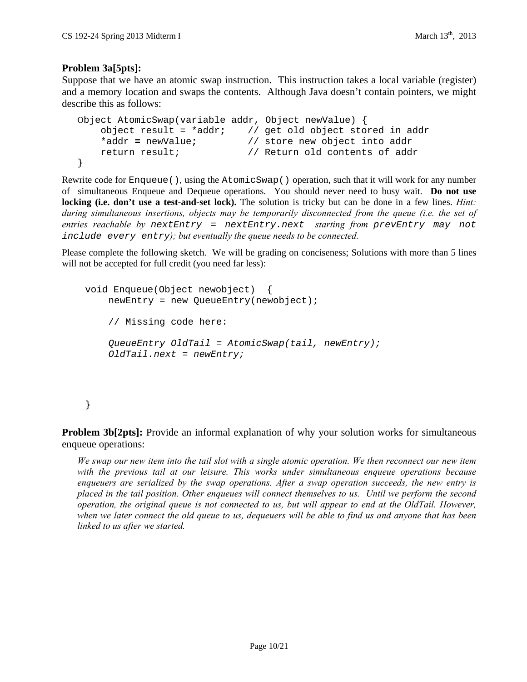#### **Problem 3a[5pts]:**

Suppose that we have an atomic swap instruction. This instruction takes a local variable (register) and a memory location and swaps the contents. Although Java doesn't contain pointers, we might describe this as follows:

```
 Object AtomicSwap(variable addr, Object newValue) { 
    object result = *addr; // get old object stored in addr 
    *addr = newValue; // store new object into addr 
    return result; // Return old contents of addr 
 }
```
Rewrite code for Enqueue(), using the AtomicSwap() operation, such that it will work for any number of simultaneous Enqueue and Dequeue operations. You should never need to busy wait. **Do not use locking (i.e. don't use a test-and-set lock).** The solution is tricky but can be done in a few lines. *Hint*: *during simultaneous insertions, objects may be temporarily disconnected from the queue (i.e. the set of entries reachable by nextEntry = nextEntry.next starting from prevEntry may not include every entry); but eventually the queue needs to be connected.* 

Please complete the following sketch. We will be grading on conciseness; Solutions with more than 5 lines will not be accepted for full credit (you need far less):

```
 void Enqueue(Object newobject) { 
     newEntry = new QueueEntry(newobject); 
     // Missing code here: 
     QueueEntry OldTail = AtomicSwap(tail, newEntry); 
     OldTail.next = newEntry;
```
}

**Problem 3b[2pts]:** Provide an informal explanation of why your solution works for simultaneous enqueue operations:

*We swap our new item into the tail slot with a single atomic operation. We then reconnect our new item with the previous tail at our leisure. This works under simultaneous enqueue operations because enqueuers are serialized by the swap operations. After a swap operation succeeds, the new entry is placed in the tail position. Other enqueues will connect themselves to us. Until we perform the second operation, the original queue is not connected to us, but will appear to end at the OldTail. However, when we later connect the old queue to us, dequeuers will be able to find us and anyone that has been linked to us after we started.*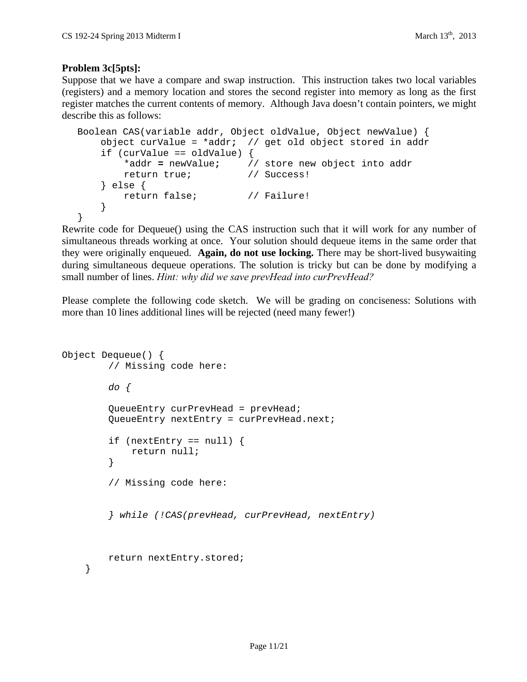#### **Problem 3c[5pts]:**

Suppose that we have a compare and swap instruction. This instruction takes two local variables (registers) and a memory location and stores the second register into memory as long as the first register matches the current contents of memory. Although Java doesn't contain pointers, we might describe this as follows:

```
Boolean CAS(variable addr, Object oldValue, Object newValue) { 
       object curValue = *addr; // get old object stored in addr 
      if (curValue == oldValue) {
           *addr = newValue; // store new object into addr 
          return true; \frac{1}{2} // Success!
       } else { 
           return false; // Failure! 
 } 
   }
```
Rewrite code for Dequeue() using the CAS instruction such that it will work for any number of simultaneous threads working at once. Your solution should dequeue items in the same order that they were originally enqueued. **Again, do not use locking.** There may be short-lived busywaiting during simultaneous dequeue operations. The solution is tricky but can be done by modifying a small number of lines. *Hint: why did we save prevHead into curPrevHead?*

Please complete the following code sketch. We will be grading on conciseness: Solutions with more than 10 lines additional lines will be rejected (need many fewer!)

```
Object Dequeue() { 
         // Missing code here: 
         do { 
        OueueEntry curPrevHead = prevHead;
         QueueEntry nextEntry = curPrevHead.next; 
        if (nextEntry == null) {
             return null; 
 } 
         // Missing code here: 
         } while (!CAS(prevHead, curPrevHead, nextEntry) 
         return nextEntry.stored; 
     }
```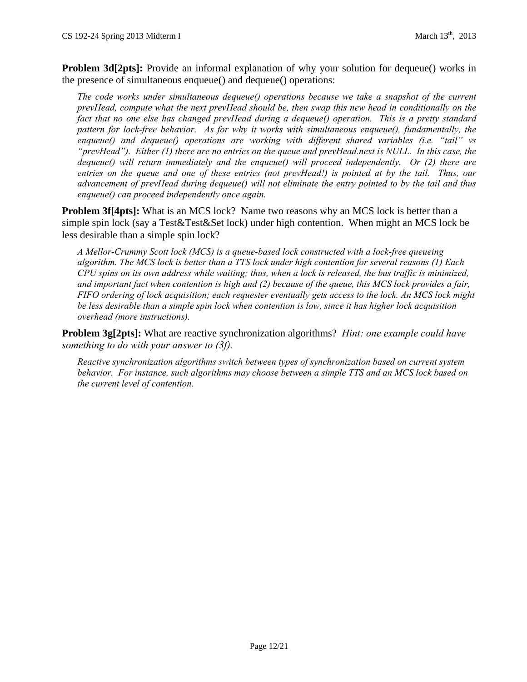**Problem 3d[2pts]:** Provide an informal explanation of why your solution for dequeue() works in the presence of simultaneous enqueue() and dequeue() operations:

*The code works under simultaneous dequeue() operations because we take a snapshot of the current prevHead, compute what the next prevHead should be, then swap this new head in conditionally on the fact that no one else has changed prevHead during a dequeue() operation. This is a pretty standard pattern for lock-free behavior. As for why it works with simultaneous enqueue(), fundamentally, the enqueue() and dequeue() operations are working with different shared variables (i.e. "tail" vs "prevHead"). Either (1) there are no entries on the queue and prevHead.next is NULL. In this case, the dequeue() will return immediately and the enqueue() will proceed independently. Or (2) there are entries on the queue and one of these entries (not prevHead!) is pointed at by the tail. Thus, our advancement of prevHead during dequeue() will not eliminate the entry pointed to by the tail and thus enqueue() can proceed independently once again.*

**Problem 3f<sup>[4pts]</sup>:** What is an MCS lock? Name two reasons why an MCS lock is better than a simple spin lock (say a Test&Test&Set lock) under high contention. When might an MCS lock be less desirable than a simple spin lock?

*A Mellor-Crummy Scott lock (MCS) is a queue-based lock constructed with a lock-free queueing algorithm. The MCS lock is better than a TTS lock under high contention for several reasons (1) Each CPU spins on its own address while waiting; thus, when a lock is released, the bus traffic is minimized, and important fact when contention is high and (2) because of the queue, this MCS lock provides a fair, FIFO ordering of lock acquisition; each requester eventually gets access to the lock. An MCS lock might be less desirable than a simple spin lock when contention is low, since it has higher lock acquisition overhead (more instructions).*

**Problem 3g[2pts]:** What are reactive synchronization algorithms? *Hint: one example could have something to do with your answer to (3f).* 

*Reactive synchronization algorithms switch between types of synchronization based on current system behavior. For instance, such algorithms may choose between a simple TTS and an MCS lock based on the current level of contention.*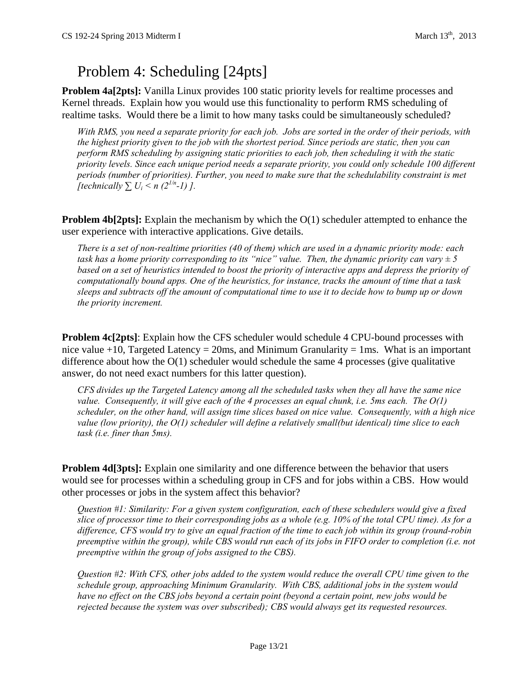## Problem 4: Scheduling [24pts]

**Problem 4a[2pts]:** Vanilla Linux provides 100 static priority levels for realtime processes and Kernel threads. Explain how you would use this functionality to perform RMS scheduling of realtime tasks. Would there be a limit to how many tasks could be simultaneously scheduled?

*With RMS, you need a separate priority for each job. Jobs are sorted in the order of their periods, with the highest priority given to the job with the shortest period. Since periods are static, then you can perform RMS scheduling by assigning static priorities to each job, then scheduling it with the static priority levels. Since each unique period needs a separate priority, you could only schedule 100 different periods (number of priorities). Further, you need to make sure that the schedulability constraint is met [technically*  $\sum U_i \le n (2^{1/n}-1)$ *].* 

**Problem 4b[2pts]:** Explain the mechanism by which the  $O(1)$  scheduler attempted to enhance the user experience with interactive applications. Give details.

*There is a set of non-realtime priorities (40 of them) which are used in a dynamic priority mode: each task has a home priority corresponding to its "nice" value. Then, the dynamic priority can vary ± 5 based on a set of heuristics intended to boost the priority of interactive apps and depress the priority of computationally bound apps. One of the heuristics, for instance, tracks the amount of time that a task sleeps and subtracts off the amount of computational time to use it to decide how to bump up or down the priority increment.*

**Problem 4c[2pts]**: Explain how the CFS scheduler would schedule 4 CPU-bound processes with nice value  $+10$ , Targeted Latency = 20ms, and Minimum Granularity = 1ms. What is an important difference about how the  $O(1)$  scheduler would schedule the same 4 processes (give qualitative answer, do not need exact numbers for this latter question).

*CFS divides up the Targeted Latency among all the scheduled tasks when they all have the same nice value. Consequently, it will give each of the 4 processes an equal chunk, i.e. 5ms each. The O(1) scheduler, on the other hand, will assign time slices based on nice value. Consequently, with a high nice value (low priority), the O(1) scheduler will define a relatively small(but identical) time slice to each task (i.e. finer than 5ms).*

**Problem 4d[3pts]:** Explain one similarity and one difference between the behavior that users would see for processes within a scheduling group in CFS and for jobs within a CBS. How would other processes or jobs in the system affect this behavior?

*Question #1: Similarity: For a given system configuration, each of these schedulers would give a fixed slice of processor time to their corresponding jobs as a whole (e.g. 10% of the total CPU time). As for a difference, CFS would try to give an equal fraction of the time to each job within its group (round-robin preemptive within the group), while CBS would run each of its jobs in FIFO order to completion (i.e. not preemptive within the group of jobs assigned to the CBS).* 

*Question #2: With CFS, other jobs added to the system would reduce the overall CPU time given to the schedule group, approaching Minimum Granularity. With CBS, additional jobs in the system would have no effect on the CBS jobs beyond a certain point (beyond a certain point, new jobs would be rejected because the system was over subscribed); CBS would always get its requested resources.*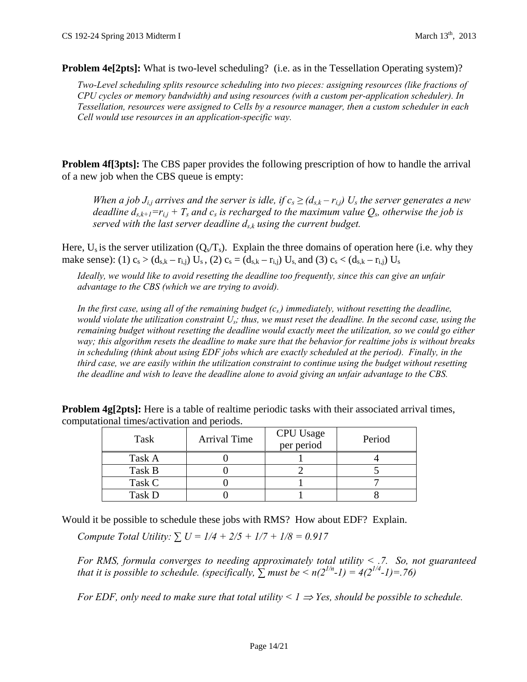**Problem 4e[2pts]:** What is two-level scheduling? (i.e. as in the Tessellation Operating system)?

*Two-Level scheduling splits resource scheduling into two pieces: assigning resources (like fractions of CPU cycles or memory bandwidth) and using resources (with a custom per-application scheduler). In Tessellation, resources were assigned to Cells by a resource manager, then a custom scheduler in each Cell would use resources in an application-specific way.*

**Problem 4f[3pts]:** The CBS paper provides the following prescription of how to handle the arrival of a new job when the CBS queue is empty:

*When a job*  $J_{i,j}$  *arrives and the server is idle, if*  $c_s \geq (d_{s,k} - r_{i,j})$  *U<sub>s</sub> the server generates a new deadline*  $d_{s,k+1}=r_{i,j}+T_s$  *and*  $c_s$  *is recharged to the maximum value*  $Q_s$ *, otherwise the job is served with the last server deadline ds,k using the current budget.* 

Here,  $U_s$  is the server utilization ( $Q_s/T_s$ ). Explain the three domains of operation here (i.e. why they make sense): (1)  $c_s > (d_{s,k} - r_{i,j}) U_s$ , (2)  $c_s = (d_{s,k} - r_{i,j}) U_s$ , and (3)  $c_s < (d_{s,k} - r_{i,j}) U_s$ 

*Ideally, we would like to avoid resetting the deadline too frequently, since this can give an unfair advantage to the CBS (which we are trying to avoid).* 

In the first case, using all of the remaining budget  $(c<sub>s</sub>)$  immediately, without resetting the deadline, *would violate the utilization constraint Us; thus, we must reset the deadline. In the second case, using the remaining budget without resetting the deadline would exactly meet the utilization, so we could go either way; this algorithm resets the deadline to make sure that the behavior for realtime jobs is without breaks in scheduling (think about using EDF jobs which are exactly scheduled at the period). Finally, in the third case, we are easily within the utilization constraint to continue using the budget without resetting the deadline and wish to leave the deadline alone to avoid giving an unfair advantage to the CBS.*

| Task   | Arrival Time | <b>CPU Usage</b><br>per period | Period |
|--------|--------------|--------------------------------|--------|
| Task A |              |                                |        |
| Task B |              |                                |        |
| Task C |              |                                |        |
| Task D |              |                                |        |

**Problem 4g[2pts]:** Here is a table of realtime periodic tasks with their associated arrival times, computational times/activation and periods.

Would it be possible to schedule these jobs with RMS? How about EDF? Explain.

*Compute Total Utility:*  $\sum U = 1/4 + 2/5 + 1/7 + 1/8 = 0.917$ 

*For RMS, formula converges to needing approximately total utility < .7. So, not guaranteed that it is possible to schedule. (specifically,*  $\sum$  *must be*  $\leq n(2^{1/n}-1) = 4(2^{1/4}-1) = .76$ *)* 

*For EDF, only need to make sure that total utility*  $\lt l \Rightarrow$  *Yes, should be possible to schedule.*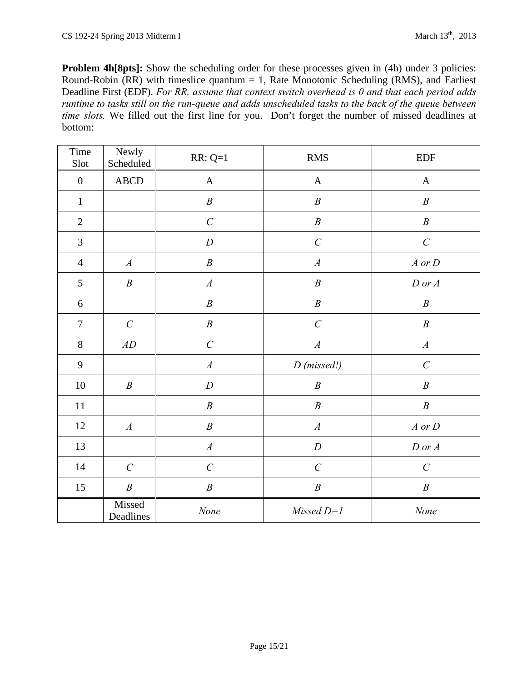**Problem 4h[8pts]:** Show the scheduling order for these processes given in (4h) under 3 policies: Round-Robin (RR) with timeslice quantum  $= 1$ , Rate Monotonic Scheduling (RMS), and Earliest Deadline First (EDF). *For RR, assume that context switch overhead is 0 and that each period adds runtime to tasks still on the run-queue and adds unscheduled tasks to the back of the queue between time slots.* We filled out the first line for you. Don't forget the number of missed deadlines at bottom:

| Time<br>Slot     | Newly<br>Scheduled             | $RR: Q=1$        | $\rm RMS$        | <b>EDF</b>       |
|------------------|--------------------------------|------------------|------------------|------------------|
| $\boldsymbol{0}$ | <b>ABCD</b>                    | $\mathbf{A}$     | $\mathbf{A}$     | $\mathbf{A}$     |
| $\mathbf{1}$     |                                | $\boldsymbol{B}$ | $\boldsymbol{B}$ | $\boldsymbol{B}$ |
| $\sqrt{2}$       |                                | $\cal C$         | $\boldsymbol{B}$ | $\boldsymbol{B}$ |
| $\overline{3}$   |                                | $\boldsymbol{D}$ | $\mathcal C$     | $\cal C$         |
| $\overline{4}$   | $\boldsymbol{A}$               | $\boldsymbol{B}$ | $\boldsymbol{A}$ | $A$ or $D$       |
| $\mathfrak{S}$   | $\boldsymbol{B}$               | $\boldsymbol{A}$ | $\boldsymbol{B}$ | $D$ or $A$       |
| 6                |                                | $\boldsymbol{B}$ | $\boldsymbol{B}$ | $\boldsymbol{B}$ |
| $\tau$           | $\cal C$                       | $\boldsymbol{B}$ | $\mathcal C$     | $\boldsymbol{B}$ |
| $8\,$            | $\boldsymbol{A}\boldsymbol{D}$ | $\cal C$         | $\boldsymbol{A}$ | $\boldsymbol{A}$ |
| 9                |                                | $\boldsymbol{A}$ | D (missed!)      | $\cal C$         |
| $10\,$           | $\boldsymbol{B}$               | $\boldsymbol{D}$ | $\boldsymbol{B}$ | $\boldsymbol{B}$ |
| 11               |                                | $\boldsymbol{B}$ | $\boldsymbol{B}$ | $\boldsymbol{B}$ |
| 12               | $\boldsymbol{A}$               | $\boldsymbol{B}$ | $\boldsymbol{A}$ | $A$ or $D$       |
| 13               |                                | $\boldsymbol{A}$ | $\boldsymbol{D}$ | $D$ or $A$       |
| 14               | $\cal C$                       | $\cal C$         | $\cal C$         | $\cal C$         |
| 15               | $\boldsymbol{B}$               | $\boldsymbol{B}$ | $\boldsymbol{B}$ | $\boldsymbol{B}$ |
|                  | Missed<br>Deadlines            | None             | $Missed D=1$     | None             |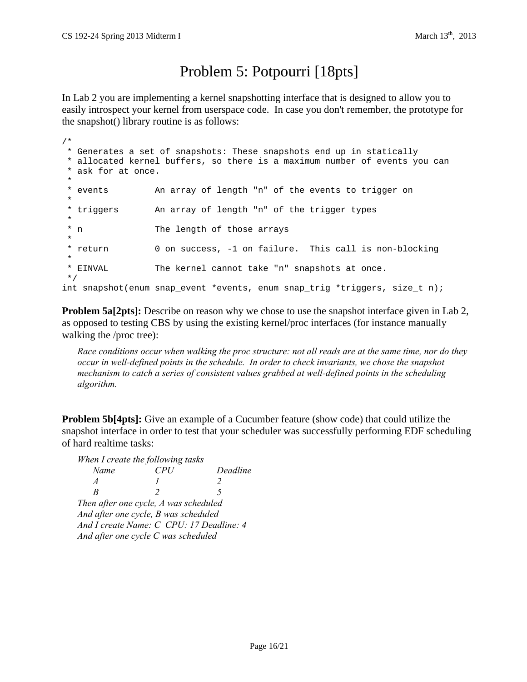### Problem 5: Potpourri [18pts]

In Lab 2 you are implementing a kernel snapshotting interface that is designed to allow you to easily introspect your kernel from userspace code. In case you don't remember, the prototype for the snapshot() library routine is as follows:

```
/* 
 * Generates a set of snapshots: These snapshots end up in statically 
 * allocated kernel buffers, so there is a maximum number of events you can 
 * ask for at once. 
 * 
 * events An array of length "n" of the events to trigger on 
 * 
 * triggers An array of length "n" of the trigger types 
* nThe length of those arrays
 * 
 * return 0 on success, -1 on failure. This call is non-blocking 
 * 
 * EINVAL The kernel cannot take "n" snapshots at once. 
 */ 
int snapshot(enum snap_event *events, enum snap_trig *triggers, size_t n);
```
**Problem 5a[2pts]:** Describe on reason why we chose to use the snapshot interface given in Lab 2, as opposed to testing CBS by using the existing kernel/proc interfaces (for instance manually walking the /proc tree):

*Race conditions occur when walking the proc structure: not all reads are at the same time, nor do they occur in well-defined points in the schedule. In order to check invariants, we chose the snapshot mechanism to catch a series of consistent values grabbed at well-defined points in the scheduling algorithm.*

**Problem 5b[4pts]:** Give an example of a Cucumber feature (show code) that could utilize the snapshot interface in order to test that your scheduler was successfully performing EDF scheduling of hard realtime tasks:

*When I create the following tasks Name CPU Deadline A l* 2 *B* 2 5 *Then after one cycle, A was scheduled And after one cycle, B was scheduled And I create Name: C CPU: 17 Deadline: 4 And after one cycle C was scheduled*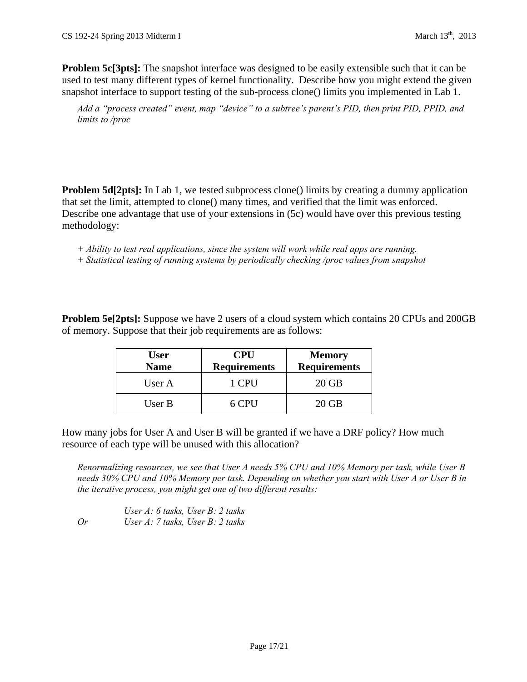**Problem 5c[3pts]:** The snapshot interface was designed to be easily extensible such that it can be used to test many different types of kernel functionality. Describe how you might extend the given snapshot interface to support testing of the sub-process clone() limits you implemented in Lab 1.

*Add a "process created" event, map "device" to a subtree's parent's PID, then print PID, PPID, and limits to /proc* 

**Problem 5d[2pts]:** In Lab 1, we tested subprocess clone() limits by creating a dummy application that set the limit, attempted to clone() many times, and verified that the limit was enforced. Describe one advantage that use of your extensions in (5c) would have over this previous testing methodology:

*+ Ability to test real applications, since the system will work while real apps are running.* 

*+ Statistical testing of running systems by periodically checking /proc values from snapshot*

**Problem 5e[2pts]:** Suppose we have 2 users of a cloud system which contains 20 CPUs and 200GB of memory. Suppose that their job requirements are as follows:

| <b>User</b><br><b>Name</b> | CPU<br><b>Requirements</b> | <b>Memory</b><br><b>Requirements</b> |
|----------------------------|----------------------------|--------------------------------------|
| User A                     | 1 CPU                      | $20$ GB                              |
| User B                     | 6 CPU                      | $20$ GB                              |

How many jobs for User A and User B will be granted if we have a DRF policy? How much resource of each type will be unused with this allocation?

*Renormalizing resources, we see that User A needs 5% CPU and 10% Memory per task, while User B needs 30% CPU and 10% Memory per task. Depending on whether you start with User A or User B in the iterative process, you might get one of two different results:* 

 *User A: 6 tasks, User B: 2 tasks Or User A: 7 tasks, User B: 2 tasks*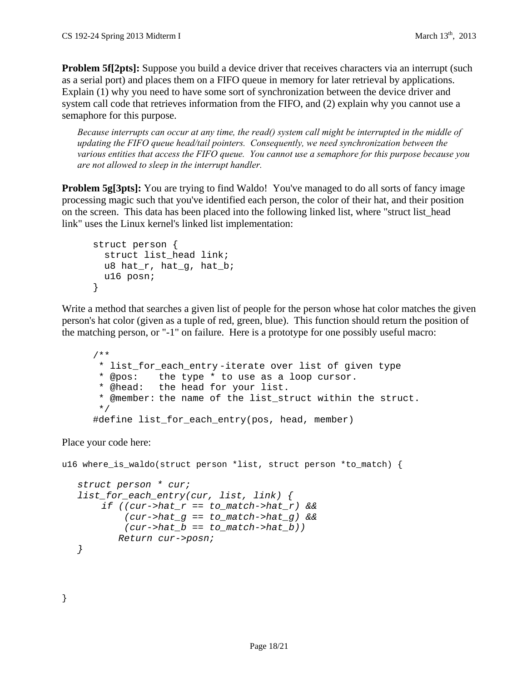**Problem 5f[2pts]:** Suppose you build a device driver that receives characters via an interrupt (such as a serial port) and places them on a FIFO queue in memory for later retrieval by applications. Explain (1) why you need to have some sort of synchronization between the device driver and system call code that retrieves information from the FIFO, and (2) explain why you cannot use a semaphore for this purpose.

*Because interrupts can occur at any time, the read() system call might be interrupted in the middle of updating the FIFO queue head/tail pointers. Consequently, we need synchronization between the various entities that access the FIFO queue. You cannot use a semaphore for this purpose because you are not allowed to sleep in the interrupt handler.*

**Problem 5g[3pts]:** You are trying to find Waldo! You've managed to do all sorts of fancy image processing magic such that you've identified each person, the color of their hat, and their position on the screen. This data has been placed into the following linked list, where "struct list\_head link" uses the Linux kernel's linked list implementation:

```
struct person { 
   struct list_head link; 
  u8 hat_r, hat_g, hat b;
   u16 posn; 
}
```
Write a method that searches a given list of people for the person whose hat color matches the given person's hat color (given as a tuple of red, green, blue). This function should return the position of the matching person, or "-1" on failure. Here is a prototype for one possibly useful macro:

```
/** 
  * list_for_each_entry -iterate over list of given type 
  * @pos: the type * to use as a loop cursor. 
 * @head: the head for your list. 
  * @member: the name of the list_struct within the struct. 
 */ 
#define list_for_each_entry(pos, head, member)
```
Place your code here:

```
u16 where_is_waldo(struct person *list, struct person *to_match) { 
   struct person * cur; 
   list_for_each_entry(cur, list, link) { 
        if ((cur->hat_r == to_match->hat_r) && 
             (cur->hat_g == to_match->hat_g) && 
             (cur->hat_b == to_match->hat_b)) 
           Return cur->posn; 
   }
```
}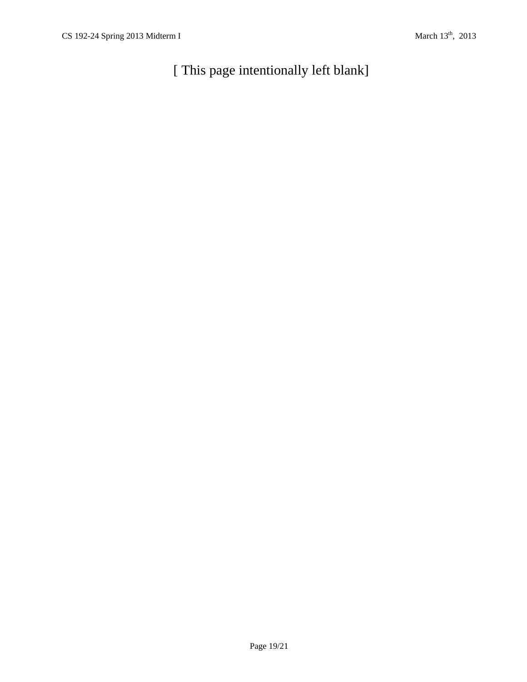# [ This page intentionally left blank]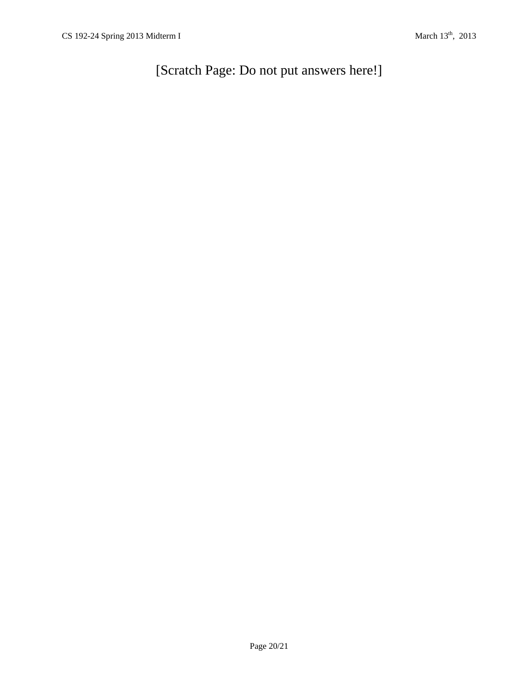[Scratch Page: Do not put answers here!]